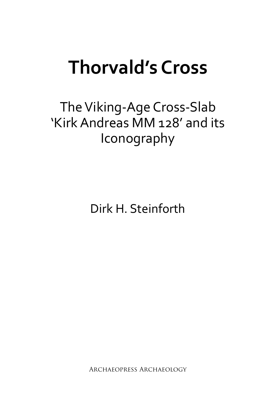# **Thorvald's Cross**

## The Viking-Age Cross-Slab 'Kirk Andreas MM 128' and its Iconography

Dirk H. Steinforth

Archaeopress Archaeology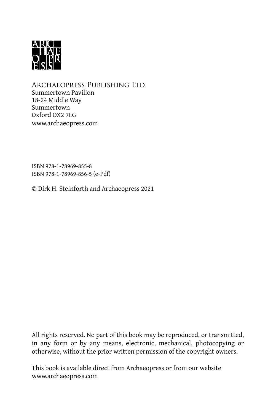

Archaeopress Publishing Ltd Summertown Pavilion 18-24 Middle Way Summertown Oxford OX2 7LG [www.archaeopress.com](http://www.archaeopress.com)

ISBN 978-1-78969-855-8 ISBN 978-1-78969-856-5 (e-Pdf)

© Dirk H. Steinforth and Archaeopress 2021

All rights reserved. No part of this book may be reproduced, or transmitted, in any form or by any means, electronic, mechanical, photocopying or otherwise, without the prior written permission of the copyright owners.

This book is available direct from Archaeopress or from our website [www.archaeopress.com](http://www.archaeopress.com)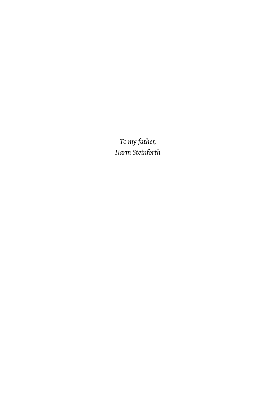*To my father, Harm Steinforth*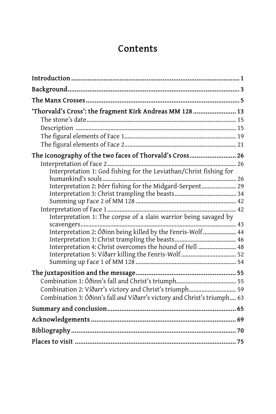### Contents

| 'Thorvald's Cross': the fragment Kirk Andreas MM 128  13                 |  |
|--------------------------------------------------------------------------|--|
|                                                                          |  |
|                                                                          |  |
|                                                                          |  |
| The iconography of the two faces of Thorvald's Cross 26                  |  |
|                                                                          |  |
| Interpretation 1: God fishing for the Leviathan/Christ fishing for       |  |
|                                                                          |  |
| Interpretation 2: Þórr fishing for the Midgard-Serpent 29                |  |
|                                                                          |  |
|                                                                          |  |
|                                                                          |  |
| Interpretation 1: The corpse of a slain warrior being savaged by         |  |
|                                                                          |  |
| Interpretation 2: Óðinn being killed by the Fenris-Wolf  44              |  |
|                                                                          |  |
| Interpretation 4: Christ overcomes the hound of Hell  48                 |  |
|                                                                          |  |
|                                                                          |  |
|                                                                          |  |
|                                                                          |  |
| Combination 2: Víðarr's victory and Christ's triumph 59                  |  |
| Combination 3: Óðinn's fall and Víðarr's victory and Christ's triumph 63 |  |
|                                                                          |  |
|                                                                          |  |
|                                                                          |  |
|                                                                          |  |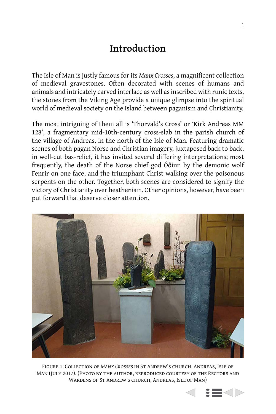#### Introduction

The Isle of Man is justly famous for its Manx Crosses, a magnificent collection of medieval gravestones. Often decorated with scenes of humans and animals and intricately carved interlace as well as inscribed with runic texts, the stones from the Viking Age provide a unique glimpse into the spiritual world of medieval society on the Island between paganism and Christianity.

The most intriguing of them all is 'Thorvald's Cross' or 'Kirk Andreas MM 128', a fragmentary mid-10th-century cross-slab in the parish church of the village of Andreas, in the north of the Isle of Man. Featuring dramatic scenes of both pagan Norse and Christian imagery, juxtaposed back to back, in well-cut bas-relief, it has invited several differing interpretations; most frequently, the death of the Norse chief god Óðinn by the demonic wolf Fenrir on one face, and the triumphant Christ walking over the poisonous serpents on the other. Together, both scenes are considered to signify the victory of Christianity over heathenism. Other opinions, however, have been put forward that deserve closer attention.



FIGURE 1: COLLECTION OF MANX CROSSES IN ST ANDREW'S CHURCH, ANDREAS, ISLE OF MAN (JULY 2017). (PHOTO BY THE AUTHOR, REPRODUCED COURTESY OF THE RECTORS AND WARDENS OF ST ANDREW'S CHURCH, ANDREAS, ISLE OF MAN)

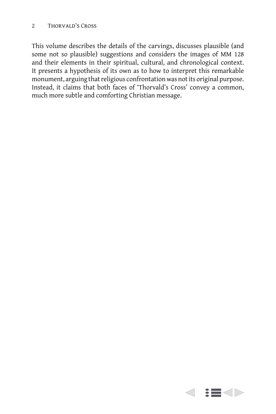This volume describes the details of the carvings, discusses plausible (and some not so plausible) suggestions and considers the images of MM 128 and their elements in their spiritual, cultural, and chronological context. It presents a hypothesis of its own as to how to interpret this remarkable monument, arguing that religious confrontation was not its original purpose. Instead, it claims that both faces of 'Thorvald's Cross' convey a common, much more subtle and comforting Christian message.

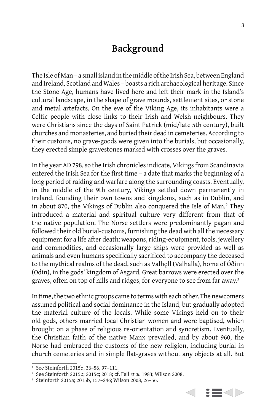#### **Background**

The Isle of Man – a small island in the middle of the Irish Sea, between England and Ireland, Scotland and Wales – boasts a rich archaeological heritage. Since the Stone Age, humans have lived here and left their mark in the Island's cultural landscape, in the shape of grave mounds, settlement sites, or stone and metal artefacts. On the eve of the Viking Age, its inhabitants were a Celtic people with close links to their Irish and Welsh neighbours. They were Christians since the days of Saint Patrick (mid/late 5th century), built churches and monasteries, and buried their dead in cemeteries. According to their customs, no grave-goods were given into the burials, but occasionally, they erected simple gravestones marked with crosses over the graves.<sup>1</sup>

In the year AD 798, so the Irish chronicles indicate, Vikings from Scandinavia entered the Irish Sea for the first time – a date that marks the beginning of a long period of raiding and warfare along the surrounding coasts. Eventually, in the middle of the 9th century, Vikings settled down permanently in Ireland, founding their own towns and kingdoms, such as in Dublin, and in about 870, the Vikings of Dublin also conquered the Isle of Man.<sup>2</sup> They introduced a material and spiritual culture very different from that of the native population. The Norse settlers were predominantly pagan and followed their old burial-customs, furnishing the dead with all the necessary equipment for a life after death: weapons, riding-equipment, tools, jewellery and commodities, and occasionally large ships were provided as well as animals and even humans specifically sacrificed to accompany the deceased to the mythical realms of the dead, such as Valholl (Valhalla), home of Óðinn (Odin), in the gods' kingdom of Asgard. Great barrows were erected over the graves, often on top of hills and ridges, for everyone to see from far away.<sup>3</sup>

In time, the two ethnic groups came to terms with each other. The newcomers assumed political and social dominance in the Island, but gradually adopted the material culture of the locals. While some Vikings held on to their old gods, others married local Christian women and were baptised, which brought on a phase of religious re-orientation and syncretism. Eventually, the Christian faith of the native Manx prevailed, and by about 960, the Norse had embraced the customs of the new religion, including burial in church cemeteries and in simple flat-graves without any objects at all. But



 $1$  See Steinforth 2015b, 36-56, 97-111.

૮ See Steinforth 2015b; 2015c; 2018; cf. Fell *et al.* 1983; Wilson 2008.

<sup>&</sup>lt;sup>3</sup> Steinforth 2015a; 2015b, 157-246; Wilson 2008, 26-56.